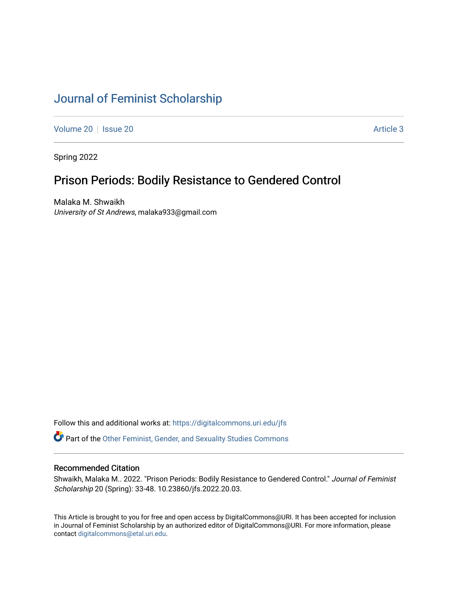# [Journal of Feminist Scholarship](https://digitalcommons.uri.edu/jfs)

[Volume 20](https://digitalcommons.uri.edu/jfs/vol20) | [Issue 20](https://digitalcommons.uri.edu/jfs/vol20/iss20) | **Article 3** Article 3

Spring 2022

# Prison Periods: Bodily Resistance to Gendered Control

Malaka M. Shwaikh University of St Andrews, malaka933@gmail.com

Follow this and additional works at: [https://digitalcommons.uri.edu/jfs](https://digitalcommons.uri.edu/jfs?utm_source=digitalcommons.uri.edu%2Fjfs%2Fvol20%2Fiss20%2F3&utm_medium=PDF&utm_campaign=PDFCoverPages) 

Part of the [Other Feminist, Gender, and Sexuality Studies Commons](http://network.bepress.com/hgg/discipline/562?utm_source=digitalcommons.uri.edu%2Fjfs%2Fvol20%2Fiss20%2F3&utm_medium=PDF&utm_campaign=PDFCoverPages) 

## Recommended Citation

Shwaikh, Malaka M.. 2022. "Prison Periods: Bodily Resistance to Gendered Control." Journal of Feminist Scholarship 20 (Spring): 33-48. 10.23860/jfs.2022.20.03.

This Article is brought to you for free and open access by DigitalCommons@URI. It has been accepted for inclusion in Journal of Feminist Scholarship by an authorized editor of DigitalCommons@URI. For more information, please contact [digitalcommons@etal.uri.edu.](mailto:digitalcommons@etal.uri.edu)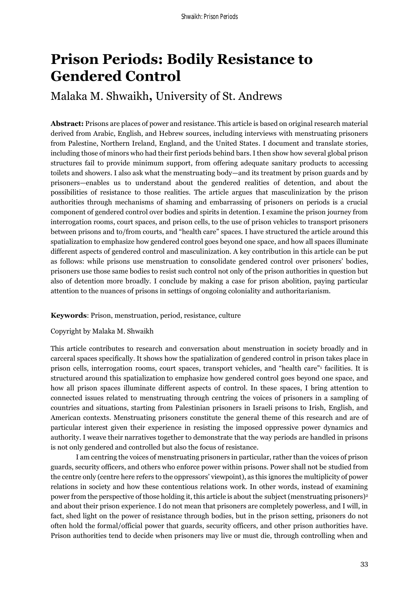# **Prison Periods: Bodily Resistance to Gendered Control**

# Malaka M. Shwaikh**,** University of St. Andrews

**Abstract:** Prisons are places of power and resistance. This article is based on original research material derived from Arabic, English, and Hebrew sources, including interviews with menstruating prisoners from Palestine, Northern Ireland, England, and the United States. I document and translate stories, including those of minors who had their first periods behind bars. I then show how several global prison structures fail to provide minimum support, from offering adequate sanitary products to accessing toilets and showers. I also ask what the menstruating body—and its treatment by prison guards and by prisoners—enables us to understand about the gendered realities of detention, and about the possibilities of resistance to those realities. The article argues that masculinization by the prison authorities through mechanisms of shaming and embarrassing of prisoners on periods is a crucial component of gendered control over bodies and spirits in detention. I examine the prison journey from interrogation rooms, court spaces, and prison cells, to the use of prison vehicles to transport prisoners between prisons and to/from courts, and "health care" spaces. I have structured the article around this spatialization to emphasize how gendered control goes beyond one space, and how all spaces illuminate different aspects of gendered control and masculinization. A key contribution in this article can be put as follows: while prisons use menstruation to consolidate gendered control over prisoners' bodies, prisoners use those same bodies to resist such control not only of the prison authorities in question but also of detention more broadly. I conclude by making a case for prison abolition, paying particular attention to the nuances of prisons in settings of ongoing coloniality and authoritarianism.

## **Keywords**: Prison, menstruation, period, resistance, culture

#### Copyright by Malaka M. Shwaikh

This article contributes to research and conversation about menstruation in society broadly and in carceral spaces specifically. It shows how the spatialization of gendered control in prison takes place in prison cells, interrogation rooms, court spaces, transport vehicles, and "health care"<sup>1</sup> facilities. It is structured around this spatialization to emphasize how gendered control goes beyond one space, and how all prison spaces illuminate different aspects of control. In these spaces, I bring attention to connected issues related to menstruating through centring the voices of prisoners in a sampling of countries and situations, starting from Palestinian prisoners in Israeli prisons to Irish, English, and American contexts. Menstruating prisoners constitute the general theme of this research and are of particular interest given their experience in resisting the imposed oppressive power dynamics and authority*.* I weave their narratives together to demonstrate that the way periods are handled in prisons is not only gendered and controlled but also the focus of resistance.

I am centring the voices of menstruating prisoners in particular, rather than the voices of prison guards, security officers, and others who enforce power within prisons. Power shall not be studied from the centre only (centre here refers to the oppressors' viewpoint), as this ignores the multiplicity of power relations in society and how these contentious relations work. In other words, instead of examining power from the perspective of those holding it, this article is about the subject (menstruating prisoners)<sup>2</sup> and about their prison experience. I do not mean that prisoners are completely powerless, and I will, in fact, shed light on the power of resistance through bodies, but in the prison setting, prisoners do not often hold the formal/official power that guards, security officers, and other prison authorities have. Prison authorities tend to decide when prisoners may live or must die, through controlling when and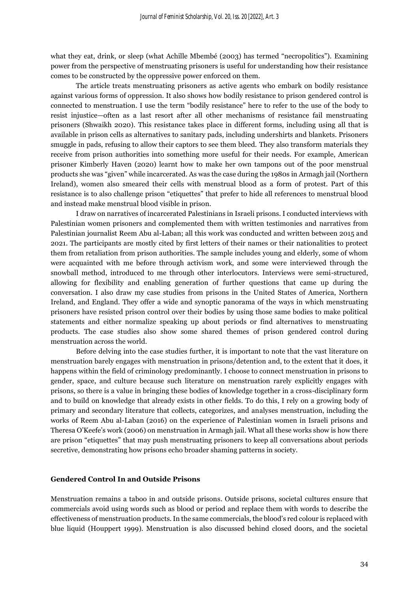what they eat, drink, or sleep (what Achille Mbembé (2003) has termed "necropolitics"). Examining power from the perspective of menstruating prisoners is useful for understanding how their resistance comes to be constructed by the oppressive power enforced on them.

The article treats menstruating prisoners as active agents who embark on bodily resistance against various forms of oppression. It also shows how bodily resistance to prison gendered control is connected to menstruation. I use the term "bodily resistance" here to refer to the use of the body to resist injustice—often as a last resort after all other mechanisms of resistance fail menstruating prisoners (Shwaikh 2020). This resistance takes place in different forms, including using all that is available in prison cells as alternatives to sanitary pads, including undershirts and blankets. Prisoners smuggle in pads, refusing to allow their captors to see them bleed. They also transform materials they receive from prison authorities into something more useful for their needs. For example, American prisoner Kimberly Haven (2020) learnt how to make her own tampons out of the poor menstrual products she was "given" while incarcerated. As was the case during the 1980s in Armagh jail (Northern Ireland), women also smeared their cells with menstrual blood as a form of protest. Part of this resistance is to also challenge prison "etiquettes" that prefer to hide all references to menstrual blood and instead make menstrual blood visible in prison.

I draw on narratives of incarcerated Palestinians in Israeli prisons. I conducted interviews with Palestinian women prisoners and complemented them with written testimonies and narratives from Palestinian journalist Reem Abu al-Laban; all this work was conducted and written between 2015 and 2021. The participants are mostly cited by first letters of their names or their nationalities to protect them from retaliation from prison authorities. The sample includes young and elderly, some of whom were acquainted with me before through activism work, and some were interviewed through the snowball method, introduced to me through other interlocutors. Interviews were semi-structured, allowing for flexibility and enabling generation of further questions that came up during the conversation. I also draw my case studies from prisons in the United States of America, Northern Ireland, and England. They offer a wide and synoptic panorama of the ways in which menstruating prisoners have resisted prison control over their bodies by using those same bodies to make political statements and either normalize speaking up about periods or find alternatives to menstruating products. The case studies also show some shared themes of prison gendered control during menstruation across the world.

 Before delving into the case studies further, it is important to note that the vast literature on menstruation barely engages with menstruation in prisons/detention and, to the extent that it does, it happens within the field of criminology predominantly. I choose to connect menstruation in prisons to gender, space, and culture because such literature on menstruation rarely explicitly engages with prisons, so there is a value in bringing these bodies of knowledge together in a cross-disciplinary form and to build on knowledge that already exists in other fields. To do this, I rely on a growing body of primary and secondary literature that collects, categorizes, and analyses menstruation, including the works of Reem Abu al-Laban (2016) on the experience of Palestinian women in Israeli prisons and Theresa O'Keefe's work (2006) on menstruation in Armagh jail. What all these works show is how there are prison "etiquettes" that may push menstruating prisoners to keep all conversations about periods secretive, demonstrating how prisons echo broader shaming patterns in society.

#### **Gendered Control In and Outside Prisons**

Menstruation remains a taboo in and outside prisons. Outside prisons, societal cultures ensure that commercials avoid using words such as blood or period and replace them with words to describe the effectiveness of menstruation products. In the same commercials, the blood's red colour is replaced with blue liquid (Houppert 1999). Menstruation is also discussed behind closed doors, and the societal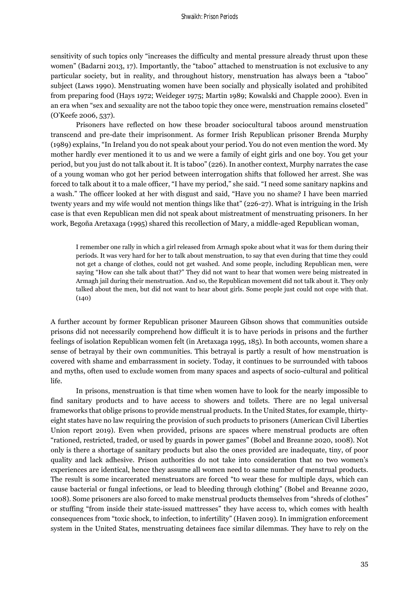sensitivity of such topics only "increases the difficulty and mental pressure already thrust upon these women" (Badarni 2013, 17). Importantly, the "taboo" attached to menstruation is not exclusive to any particular society, but in reality, and throughout history, menstruation has always been a "taboo" subject (Laws 1990). Menstruating women have been socially and physically isolated and prohibited from preparing food (Hays 1972; Weideger 1975; Martin 1989; Kowalski and Chapple 2000). Even in an era when "sex and sexuality are not the taboo topic they once were, menstruation remains closeted" (O'Keefe 2006, 537).

Prisoners have reflected on how these broader sociocultural taboos around menstruation transcend and pre-date their imprisonment. As former Irish Republican prisoner Brenda Murphy (1989) explains, "In Ireland you do not speak about your period. You do not even mention the word. My mother hardly ever mentioned it to us and we were a family of eight girls and one boy. You get your period, but you just do not talk about it. It is taboo" (226). In another context, Murphy narrates the case of a young woman who got her period between interrogation shifts that followed her arrest. She was forced to talk about it to a male officer, "I have my period," she said. "I need some sanitary napkins and a wash." The officer looked at her with disgust and said, "Have you no shame? I have been married twenty years and my wife would not mention things like that" (226-27). What is intriguing in the Irish case is that even Republican men did not speak about mistreatment of menstruating prisoners. In her work, Begoña Aretaxaga (1995) shared this recollection of Mary, a middle-aged Republican woman,

I remember one rally in which a girl released from Armagh spoke about what it was for them during their periods. It was very hard for her to talk about menstruation, to say that even during that time they could not get a change of clothes, could not get washed. And some people, including Republican men, were saying "How can she talk about that?" They did not want to hear that women were being mistreated in Armagh jail during their menstruation. And so, the Republican movement did not talk about it. They only talked about the men, but did not want to hear about girls. Some people just could not cope with that.  $(140)$ 

A further account by former Republican prisoner Maureen Gibson shows that communities outside prisons did not necessarily comprehend how difficult it is to have periods in prisons and the further feelings of isolation Republican women felt (in Aretaxaga 1995, 185). In both accounts, women share a sense of betrayal by their own communities. This betrayal is partly a result of how menstruation is covered with shame and embarrassment in society. Today, it continues to be surrounded with taboos and myths, often used to exclude women from many spaces and aspects of socio-cultural and political life.

In prisons, menstruation is that time when women have to look for the nearly impossible to find sanitary products and to have access to showers and toilets. There are no legal universal frameworks that oblige prisons to provide menstrual products. In the United States, for example, thirtyeight states have no law requiring the provision of such products to prisoners (American Civil Liberties Union report 2019). Even when provided, prisons are spaces where menstrual products are often "rationed, restricted, traded, or used by guards in power games" (Bobel and Breanne 2020, 1008). Not only is there a shortage of sanitary products but also the ones provided are inadequate, tiny, of poor quality and lack adhesive. Prison authorities do not take into consideration that no two women's experiences are identical, hence they assume all women need to same number of menstrual products. The result is some incarcerated menstruators are forced "to wear these for multiple days, which can cause bacterial or fungal infections, or lead to bleeding through clothing" (Bobel and Breanne 2020, 1008). Some prisoners are also forced to make menstrual products themselves from "shreds of clothes" or stuffing "from inside their state-issued mattresses" they have access to, which comes with health consequences from "toxic shock, to infection, to infertility" (Haven 2019). In immigration enforcement system in the United States, menstruating detainees face similar dilemmas. They have to rely on the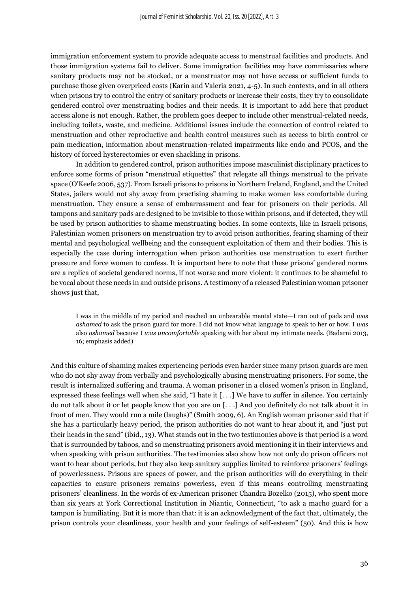immigration enforcement system to provide adequate access to menstrual facilities and products. And those immigration systems fail to deliver. Some immigration facilities may have commissaries where sanitary products may not be stocked, or a menstruator may not have access or sufficient funds to purchase those given overpriced costs (Karin and Valeria 2021, 4-5). In such contexts, and in all others when prisons try to control the entry of sanitary products or increase their costs, they try to consolidate gendered control over menstruating bodies and their needs. It is important to add here that product access alone is not enough. Rather, the problem goes deeper to include other menstrual-related needs, including toilets, waste, and medicine. Additional issues include the connection of control related to menstruation and other reproductive and health control measures such as access to birth control or pain medication, information about menstruation-related impairments like endo and PCOS, and the history of forced hysterectomies or even shackling in prisons.

In addition to gendered control, prison authorities impose masculinist disciplinary practices to enforce some forms of prison "menstrual etiquettes" that relegate all things menstrual to the private space (O'Keefe 2006, 537). From Israeli prisons to prisons in Northern Ireland, England, and the United States, jailers would not shy away from practising shaming to make women less comfortable during menstruation. They ensure a sense of embarrassment and fear for prisoners on their periods. All tampons and sanitary pads are designed to be invisible to those within prisons, and if detected, they will be used by prison authorities to shame menstruating bodies. In some contexts, like in Israeli prisons, Palestinian women prisoners on menstruation try to avoid prison authorities, fearing shaming of their mental and psychological wellbeing and the consequent exploitation of them and their bodies. This is especially the case during interrogation when prison authorities use menstruation to exert further pressure and force women to confess. It is important here to note that these prisons' gendered norms are a replica of societal gendered norms, if not worse and more violent: it continues to be shameful to be vocal about these needs in and outside prisons. A testimony of a released Palestinian woman prisoner shows just that,

I was in the middle of my period and reached an unbearable mental state—I ran out of pads and *was ashamed* to ask the prison guard for more. I did not know what language to speak to her or how. I *was* also *ashamed* because I *was uncomfortable* speaking with her about my intimate needs. (Badarni 2013, 16; emphasis added)

And this culture of shaming makes experiencing periods even harder since many prison guards are men who do not shy away from verbally and psychologically abusing menstruating prisoners. For some, the result is internalized suffering and trauma. A woman prisoner in a closed women's prison in England, expressed these feelings well when she said, "I hate it [. . .] We have to suffer in silence. You certainly do not talk about it or let people know that you are on [. . .] And you definitely do not talk about it in front of men. They would run a mile (laughs)" (Smith 2009, 6). An English woman prisoner said that if she has a particularly heavy period, the prison authorities do not want to hear about it, and "just put their heads in the sand" (ibid., 13). What stands out in the two testimonies above is that period is a word that is surrounded by taboos, and so menstruating prisoners avoid mentioning it in their interviews and when speaking with prison authorities. The testimonies also show how not only do prison officers not want to hear about periods, but they also keep sanitary supplies limited to reinforce prisoners' feelings of powerlessness. Prisons are spaces of power, and the prison authorities will do everything in their capacities to ensure prisoners remains powerless, even if this means controlling menstruating prisoners' cleanliness. In the words of ex-American prisoner Chandra Bozelko (2015), who spent more than six years at York Correctional Institution in Niantic, Connecticut, "to ask a macho guard for a tampon is humiliating. But it is more than that: it is an acknowledgment of the fact that, ultimately, the prison controls your cleanliness, your health and your feelings of self-esteem" (50). And this is how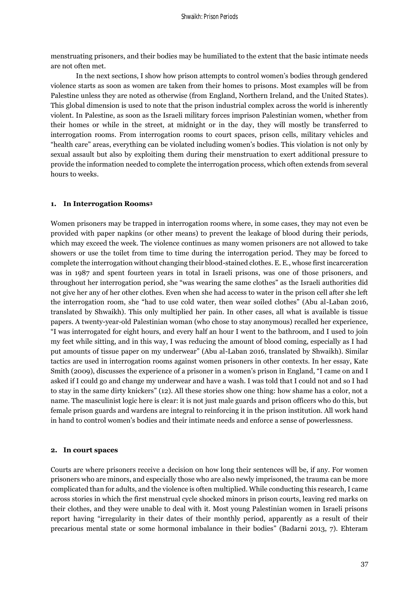menstruating prisoners, and their bodies may be humiliated to the extent that the basic intimate needs are not often met.

In the next sections, I show how prison attempts to control women's bodies through gendered violence starts as soon as women are taken from their homes to prisons. Most examples will be from Palestine unless they are noted as otherwise (from England, Northern Ireland, and the United States). This global dimension is used to note that the prison industrial complex across the world is inherently violent. In Palestine, as soon as the Israeli military forces imprison Palestinian women, whether from their homes or while in the street, at midnight or in the day, they will mostly be transferred to interrogation rooms. From interrogation rooms to court spaces, prison cells, military vehicles and "health care" areas, everything can be violated including women's bodies. This violation is not only by sexual assault but also by exploiting them during their menstruation to exert additional pressure to provide the information needed to complete the interrogation process, which often extends from several hours to weeks.

#### **1. In Interrogation Rooms<sup>3</sup>**

Women prisoners may be trapped in interrogation rooms where, in some cases, they may not even be provided with paper napkins (or other means) to prevent the leakage of blood during their periods, which may exceed the week. The violence continues as many women prisoners are not allowed to take showers or use the toilet from time to time during the interrogation period. They may be forced to complete the interrogation without changing their blood-stained clothes. E. E., whose first incarceration was in 1987 and spent fourteen years in total in Israeli prisons, was one of those prisoners, and throughout her interrogation period, she "was wearing the same clothes" as the Israeli authorities did not give her any of her other clothes. Even when she had access to water in the prison cell after she left the interrogation room, she "had to use cold water, then wear soiled clothes" (Abu al-Laban 2016, translated by Shwaikh). This only multiplied her pain. In other cases, all what is available is tissue papers. A twenty-year-old Palestinian woman (who chose to stay anonymous) recalled her experience, "I was interrogated for eight hours, and every half an hour I went to the bathroom, and I used to join my feet while sitting, and in this way, I was reducing the amount of blood coming, especially as I had put amounts of tissue paper on my underwear" (Abu al-Laban 2016, translated by Shwaikh). Similar tactics are used in interrogation rooms against women prisoners in other contexts. In her essay, Kate Smith (2009), discusses the experience of a prisoner in a women's prison in England, "I came on and I asked if I could go and change my underwear and have a wash. I was told that I could not and so I had to stay in the same dirty knickers" (12). All these stories show one thing: how shame has a color, not a name. The masculinist logic here is clear: it is not just male guards and prison officers who do this, but female prison guards and wardens are integral to reinforcing it in the prison institution. All work hand in hand to control women's bodies and their intimate needs and enforce a sense of powerlessness.

#### **2. In court spaces**

Courts are where prisoners receive a decision on how long their sentences will be, if any. For women prisoners who are minors, and especially those who are also newly imprisoned, the trauma can be more complicated than for adults, and the violence is often multiplied. While conducting this research, I came across stories in which the first menstrual cycle shocked minors in prison courts, leaving red marks on their clothes, and they were unable to deal with it. Most young Palestinian women in Israeli prisons report having "irregularity in their dates of their monthly period, apparently as a result of their precarious mental state or some hormonal imbalance in their bodies" (Badarni 2013, 7). Ehteram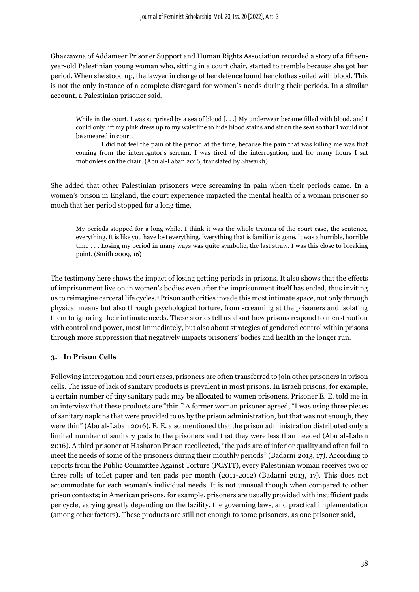Ghazzawna of Addameer Prisoner Support and Human Rights Association recorded a story of a fifteenyear-old Palestinian young woman who, sitting in a court chair, started to tremble because she got her period. When she stood up, the lawyer in charge of her defence found her clothes soiled with blood. This is not the only instance of a complete disregard for women's needs during their periods. In a similar account, a Palestinian prisoner said,

While in the court, I was surprised by a sea of blood [...] My underwear became filled with blood, and I could only lift my pink dress up to my waistline to hide blood stains and sit on the seat so that I would not be smeared in court.

I did not feel the pain of the period at the time, because the pain that was killing me was that coming from the interrogator's scream. I was tired of the interrogation, and for many hours I sat motionless on the chair. (Abu al-Laban 2016, translated by Shwaikh)

She added that other Palestinian prisoners were screaming in pain when their periods came. In a women's prison in England, the court experience impacted the mental health of a woman prisoner so much that her period stopped for a long time,

My periods stopped for a long while. I think it was the whole trauma of the court case, the sentence, everything. It is like you have lost everything. Everything that is familiar is gone. It was a horrible, horrible time . . . Losing my period in many ways was quite symbolic, the last straw. I was this close to breaking point. (Smith 2009, 16)

The testimony here shows the impact of losing getting periods in prisons. It also shows that the effects of imprisonment live on in women's bodies even after the imprisonment itself has ended, thus inviting us to reimagine carceral life cycles.<sup>4</sup> Prison authorities invade this most intimate space, not only through physical means but also through psychological torture, from screaming at the prisoners and isolating them to ignoring their intimate needs. These stories tell us about how prisons respond to menstruation with control and power, most immediately, but also about strategies of gendered control within prisons through more suppression that negatively impacts prisoners' bodies and health in the longer run.

## **3. In Prison Cells**

Following interrogation and court cases, prisoners are often transferred to join other prisoners in prison cells. The issue of lack of sanitary products is prevalent in most prisons. In Israeli prisons, for example, a certain number of tiny sanitary pads may be allocated to women prisoners. Prisoner E. E. told me in an interview that these products are "thin." A former woman prisoner agreed, "I was using three pieces of sanitary napkins that were provided to us by the prison administration, but that was not enough, they were thin" (Abu al-Laban 2016). E. E. also mentioned that the prison administration distributed only a limited number of sanitary pads to the prisoners and that they were less than needed (Abu al-Laban 2016). A third prisoner at Hasharon Prison recollected, "the pads are of inferior quality and often fail to meet the needs of some of the prisoners during their monthly periods" (Badarni 2013, 17). According to reports from the Public Committee Against Torture (PCATT), every Palestinian woman receives two or three rolls of toilet paper and ten pads per month (2011-2012) (Badarni 2013, 17). This does not accommodate for each woman's individual needs. It is not unusual though when compared to other prison contexts; in American prisons, for example, prisoners are usually provided with insufficient pads per cycle, varying greatly depending on the facility, the governing laws, and practical implementation (among other factors). These products are still not enough to some prisoners, as one prisoner said,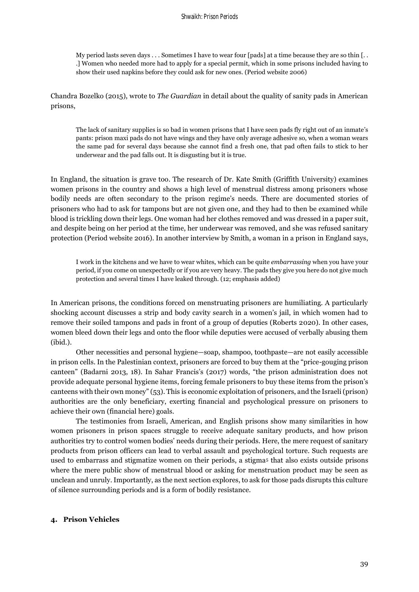My period lasts seven days . . . Sometimes I have to wear four [pads] at a time because they are so thin [.. .] Women who needed more had to apply for a special permit, which in some prisons included having to show their used napkins before they could ask for new ones. (Period website 2006)

Chandra Bozelko (2015), wrote to *The Guardian* in detail about the quality of sanity pads in American prisons,

The lack of sanitary supplies is so bad in women prisons that I have seen pads fly right out of an inmate's pants: prison maxi pads do not have wings and they have only average adhesive so, when a woman wears the same pad for several days because she cannot find a fresh one, that pad often fails to stick to her underwear and the pad falls out. It is disgusting but it is true.

In England, the situation is grave too. The research of Dr. Kate Smith (Griffith University) examines women prisons in the country and shows a high level of menstrual distress among prisoners whose bodily needs are often secondary to the prison regime's needs. There are documented stories of prisoners who had to ask for tampons but are not given one, and they had to then be examined while blood is trickling down their legs. One woman had her clothes removed and was dressed in a paper suit, and despite being on her period at the time, her underwear was removed, and she was refused sanitary protection (Period website 2016). In another interview by Smith, a woman in a prison in England says,

I work in the kitchens and we have to wear whites, which can be quite *embarrassing* when you have your period, if you come on unexpectedly or if you are very heavy. The pads they give you here do not give much protection and several times I have leaked through. (12; emphasis added)

In American prisons, the conditions forced on menstruating prisoners are humiliating. A particularly shocking account discusses a strip and body cavity search in a women's jail, in which women had to remove their soiled tampons and pads in front of a group of deputies (Roberts 2020). In other cases, women bleed down their legs and onto the floor while deputies were accused of verbally abusing them (ibid.).

Other necessities and personal hygiene—soap, shampoo, toothpaste—are not easily accessible in prison cells. In the Palestinian context, prisoners are forced to buy them at the "price-gouging prison canteen" (Badarni 2013, 18). In Sahar Francis's (2017) words, "the prison administration does not provide adequate personal hygiene items, forcing female prisoners to buy these items from the prison's canteens with their own money" (53). This is economic exploitation of prisoners, and the Israeli (prison) authorities are the only beneficiary, exerting financial and psychological pressure on prisoners to achieve their own (financial here) goals.

The testimonies from Israeli, American, and English prisons show many similarities in how women prisoners in prison spaces struggle to receive adequate sanitary products, and how prison authorities try to control women bodies' needs during their periods. Here, the mere request of sanitary products from prison officers can lead to verbal assault and psychological torture. Such requests are used to embarrass and stigmatize women on their periods, a stigma<sup>5</sup> that also exists outside prisons where the mere public show of menstrual blood or asking for menstruation product may be seen as unclean and unruly. Importantly, as the next section explores, to ask for those pads disrupts this culture of silence surrounding periods and is a form of bodily resistance.

#### **4. Prison Vehicles**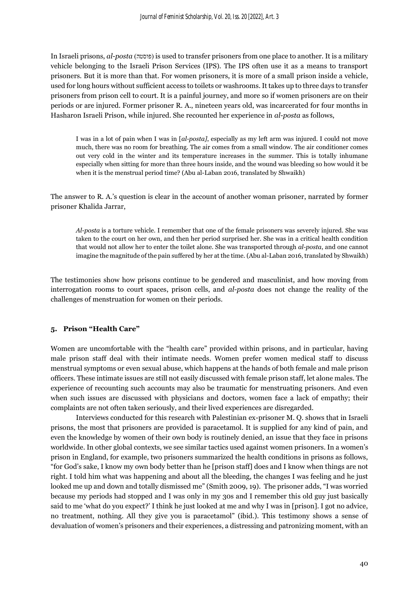In Israeli prisons, *al-posta* )פוסטה )is used to transfer prisoners from one place to another. It is a military vehicle belonging to the Israeli Prison Services (IPS). The IPS often use it as a means to transport prisoners. But it is more than that. For women prisoners, it is more of a small prison inside a vehicle, used for long hours without sufficient access to toilets or washrooms. It takes up to three days to transfer prisoners from prison cell to court. It is a painful journey, and more so if women prisoners are on their periods or are injured. Former prisoner R. A., nineteen years old, was incarcerated for four months in Hasharon Israeli Prison, while injured. She recounted her experience in *al-posta* as follows,

I was in a lot of pain when I was in [*al-posta]*, especially as my left arm was injured. I could not move much, there was no room for breathing. The air comes from a small window. The air conditioner comes out very cold in the winter and its temperature increases in the summer. This is totally inhumane especially when sitting for more than three hours inside, and the wound was bleeding so how would it be when it is the menstrual period time? (Abu al-Laban 2016, translated by Shwaikh)

The answer to R. A.'s question is clear in the account of another woman prisoner, narrated by former prisoner Khalida Jarrar,

*Al-posta* is a torture vehicle. I remember that one of the female prisoners was severely injured. She was taken to the court on her own, and then her period surprised her. She was in a critical health condition that would not allow her to enter the toilet alone. She was transported through *al-posta*, and one cannot imagine the magnitude of the pain suffered by her at the time. (Abu al-Laban 2016, translated by Shwaikh)

The testimonies show how prisons continue to be gendered and masculinist, and how moving from interrogation rooms to court spaces, prison cells, and *al-posta* does not change the reality of the challenges of menstruation for women on their periods.

## **5. Prison "Health Care"**

Women are uncomfortable with the "health care" provided within prisons, and in particular, having male prison staff deal with their intimate needs. Women prefer women medical staff to discuss menstrual symptoms or even sexual abuse, which happens at the hands of both female and male prison officers. These intimate issues are still not easily discussed with female prison staff, let alone males. The experience of recounting such accounts may also be traumatic for menstruating prisoners. And even when such issues are discussed with physicians and doctors, women face a lack of empathy; their complaints are not often taken seriously, and their lived experiences are disregarded.

Interviews conducted for this research with Palestinian ex-prisoner M. Q. shows that in Israeli prisons, the most that prisoners are provided is paracetamol. It is supplied for any kind of pain, and even the knowledge by women of their own body is routinely denied, an issue that they face in prisons worldwide. In other global contexts, we see similar tactics used against women prisoners. In a women's prison in England, for example, two prisoners summarized the health conditions in prisons as follows, "for God's sake, I know my own body better than he [prison staff] does and I know when things are not right. I told him what was happening and about all the bleeding, the changes I was feeling and he just looked me up and down and totally dismissed me" (Smith 2009, 19). The prisoner adds, "I was worried because my periods had stopped and I was only in my 30s and I remember this old guy just basically said to me 'what do you expect?' I think he just looked at me and why I was in [prison]. I got no advice, no treatment, nothing. All they give you is paracetamol" (ibid.). This testimony shows a sense of devaluation of women's prisoners and their experiences, a distressing and patronizing moment, with an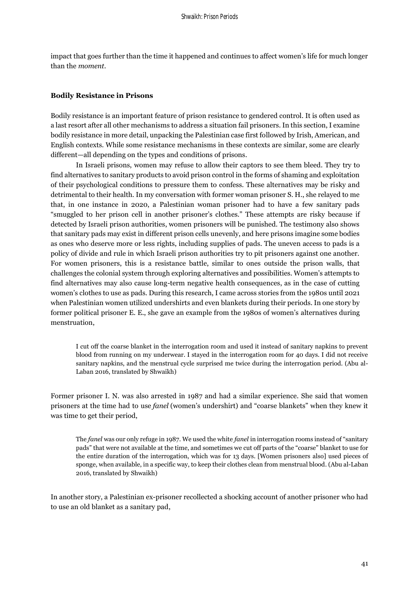impact that goes further than the time it happened and continues to affect women's life for much longer than the *moment*.

#### **Bodily Resistance in Prisons**

Bodily resistance is an important feature of prison resistance to gendered control. It is often used as a last resort after all other mechanisms to address a situation fail prisoners. In this section, I examine bodily resistance in more detail, unpacking the Palestinian case first followed by Irish, American, and English contexts. While some resistance mechanisms in these contexts are similar, some are clearly different—all depending on the types and conditions of prisons.

In Israeli prisons, women may refuse to allow their captors to see them bleed. They try to find alternatives to sanitary products to avoid prison control in the forms of shaming and exploitation of their psychological conditions to pressure them to confess. These alternatives may be risky and detrimental to their health. In my conversation with former woman prisoner S. H., she relayed to me that, in one instance in 2020, a Palestinian woman prisoner had to have a few sanitary pads "smuggled to her prison cell in another prisoner's clothes." These attempts are risky because if detected by Israeli prison authorities, women prisoners will be punished. The testimony also shows that sanitary pads may exist in different prison cells unevenly, and here prisons imagine some bodies as ones who deserve more or less rights, including supplies of pads. The uneven access to pads is a policy of divide and rule in which Israeli prison authorities try to pit prisoners against one another. For women prisoners, this is a resistance battle, similar to ones outside the prison walls, that challenges the colonial system through exploring alternatives and possibilities. Women's attempts to find alternatives may also cause long-term negative health consequences, as in the case of cutting women's clothes to use as pads. During this research, I came across stories from the 1980s until 2021 when Palestinian women utilized undershirts and even blankets during their periods. In one story by former political prisoner E. E., she gave an example from the 1980s of women's alternatives during menstruation,

I cut off the coarse blanket in the interrogation room and used it instead of sanitary napkins to prevent blood from running on my underwear. I stayed in the interrogation room for 40 days. I did not receive sanitary napkins, and the menstrual cycle surprised me twice during the interrogation period. (Abu al-Laban 2016, translated by Shwaikh)

Former prisoner I. N. was also arrested in 1987 and had a similar experience. She said that women prisoners at the time had to use *fanel* (women's undershirt) and "coarse blankets" when they knew it was time to get their period,

The *fanel* was our only refuge in 1987. We used the white *fanel* in interrogation rooms instead of "sanitary pads" that were not available at the time, and sometimes we cut off parts of the "coarse" blanket to use for the entire duration of the interrogation, which was for 13 days. [Women prisoners also] used pieces of sponge, when available, in a specific way, to keep their clothes clean from menstrual blood. (Abu al-Laban 2016, translated by Shwaikh)

In another story, a Palestinian ex-prisoner recollected a shocking account of another prisoner who had to use an old blanket as a sanitary pad,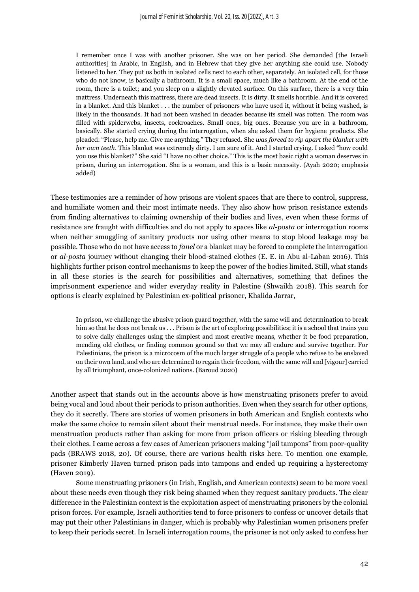I remember once I was with another prisoner. She was on her period. She demanded [the Israeli authorities] in Arabic, in English, and in Hebrew that they give her anything she could use. Nobody listened to her. They put us both in isolated cells next to each other, separately. An isolated cell, for those who do not know, is basically a bathroom. It is a small space, much like a bathroom. At the end of the room, there is a toilet; and you sleep on a slightly elevated surface. On this surface, there is a very thin mattress. Underneath this mattress, there are dead insects. It is dirty. It smells horrible. And it is covered in a blanket. And this blanket . . . the number of prisoners who have used it, without it being washed, is likely in the thousands. It had not been washed in decades because its smell was rotten. The room was filled with spiderwebs, insects, cockroaches. Small ones, big ones. Because you are in a bathroom, basically. She started crying during the interrogation, when she asked them for hygiene products. She pleaded: "Please, help me. Give me anything." They refused. She *was forced to rip apart the blanket with her own teeth*. This blanket was extremely dirty. I am sure of it. And I started crying. I asked "how could you use this blanket?" She said "I have no other choice." This is the most basic right a woman deserves in prison, during an interrogation. She is a woman, and this is a basic necessity. (Ayah 2020; emphasis added)

These testimonies are a reminder of how prisons are violent spaces that are there to control, suppress, and humiliate women and their most intimate needs. They also show how prison resistance extends from finding alternatives to claiming ownership of their bodies and lives, even when these forms of resistance are fraught with difficulties and do not apply to spaces like *al-posta* or interrogation rooms when neither smuggling of sanitary products nor using other means to stop blood leakage may be possible. Those who do not have access to *fanel* or a blanket may be forced to complete the interrogation or *al-posta* journey without changing their blood-stained clothes (E. E. in Abu al-Laban 2016). This highlights further prison control mechanisms to keep the power of the bodies limited. Still, what stands in all these stories is the search for possibilities and alternatives, something that defines the imprisonment experience and wider everyday reality in Palestine (Shwaikh 2018). This search for options is clearly explained by Palestinian ex-political prisoner, Khalida Jarrar,

In prison, we challenge the abusive prison guard together, with the same will and determination to break him so that he does not break us . . . Prison is the art of exploring possibilities; it is a school that trains you to solve daily challenges using the simplest and most creative means, whether it be food preparation, mending old clothes, or finding common ground so that we may all endure and survive together. For Palestinians, the prison is a microcosm of the much larger struggle of a people who refuse to be enslaved on their own land, and who are determined to regain their freedom, with the same will and [vigour] carried by all triumphant, once-colonized nations. (Baroud 2020)

Another aspect that stands out in the accounts above is how menstruating prisoners prefer to avoid being vocal and loud about their periods to prison authorities. Even when they search for other options, they do it secretly. There are stories of women prisoners in both American and English contexts who make the same choice to remain silent about their menstrual needs. For instance, they make their own menstruation products rather than asking for more from prison officers or risking bleeding through their clothes. I came across a few cases of American prisoners making "jail tampons" from poor-quality pads (BRAWS 2018, 20). Of course, there are various health risks here. To mention one example, prisoner Kimberly Haven turned prison pads into tampons and ended up requiring a hysterectomy (Haven 2019).

Some menstruating prisoners (in Irish, English, and American contexts) seem to be more vocal about these needs even though they risk being shamed when they request sanitary products. The clear difference in the Palestinian context is the exploitation aspect of menstruating prisoners by the colonial prison forces. For example, Israeli authorities tend to force prisoners to confess or uncover details that may put their other Palestinians in danger, which is probably why Palestinian women prisoners prefer to keep their periods secret. In Israeli interrogation rooms, the prisoner is not only asked to confess her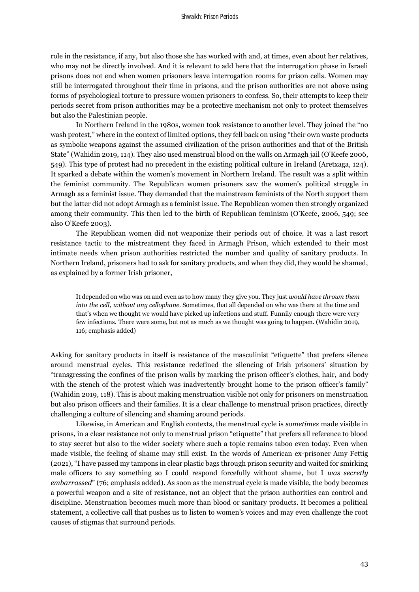role in the resistance, if any, but also those she has worked with and, at times, even about her relatives, who may not be directly involved. And it is relevant to add here that the interrogation phase in Israeli prisons does not end when women prisoners leave interrogation rooms for prison cells. Women may still be interrogated throughout their time in prisons, and the prison authorities are not above using forms of psychological torture to pressure women prisoners to confess. So, their attempts to keep their periods secret from prison authorities may be a protective mechanism not only to protect themselves but also the Palestinian people.

In Northern Ireland in the 1980s, women took resistance to another level. They joined the "no wash protest," where in the context of limited options, they fell back on using "their own waste products as symbolic weapons against the assumed civilization of the prison authorities and that of the British State" (Wahidin 2019, 114). They also used menstrual blood on the walls on Armagh jail (O'Keefe 2006, 549). This type of protest had no precedent in the existing political culture in Ireland (Aretxaga, 124). It sparked a debate within the women's movement in Northern Ireland. The result was a split within the feminist community. The Republican women prisoners saw the women's political struggle in Armagh as a feminist issue. They demanded that the mainstream feminists of the North support them but the latter did not adopt Armagh as a feminist issue. The Republican women then strongly organized among their community. This then led to the birth of Republican feminism (O'Keefe, 2006, 549; see also O'Keefe 2003).

The Republican women did not weaponize their periods out of choice. It was a last resort resistance tactic to the mistreatment they faced in Armagh Prison, which extended to their most intimate needs when prison authorities restricted the number and quality of sanitary products. In Northern Ireland, prisoners had to ask for sanitary products, and when they did, they would be shamed, as explained by a former Irish prisoner,

It depended on who was on and even as to how many they give you. They just *would have thrown them into the cell, without any cellophane*. Sometimes, that all depended on who was there at the time and that's when we thought we would have picked up infections and stuff. Funnily enough there were very few infections. There were some, but not as much as we thought was going to happen. (Wahidin 2019, 116; emphasis added)

Asking for sanitary products in itself is resistance of the masculinist "etiquette" that prefers silence around menstrual cycles. This resistance redefined the silencing of Irish prisoners' situation by "transgressing the confines of the prison walls by marking the prison officer's clothes, hair, and body with the stench of the protest which was inadvertently brought home to the prison officer's family" (Wahidin 2019, 118). This is about making menstruation visible not only for prisoners on menstruation but also prison officers and their families. It is a clear challenge to menstrual prison practices, directly challenging a culture of silencing and shaming around periods.

Likewise, in American and English contexts, the menstrual cycle is *sometimes* made visible in prisons, in a clear resistance not only to menstrual prison "etiquette" that prefers all reference to blood to stay secret but also to the wider society where such a topic remains taboo even today. Even when made visible, the feeling of shame may still exist. In the words of American ex-prisoner Amy Fettig (2021), "I have passed my tampons in clear plastic bags through prison security and waited for smirking male officers to say something so I could respond forcefully without shame, but I *was secretly embarrassed*" (76; emphasis added). As soon as the menstrual cycle is made visible, the body becomes a powerful weapon and a site of resistance, not an object that the prison authorities can control and discipline. Menstruation becomes much more than blood or sanitary products. It becomes a political statement, a collective call that pushes us to listen to women's voices and may even challenge the root causes of stigmas that surround periods.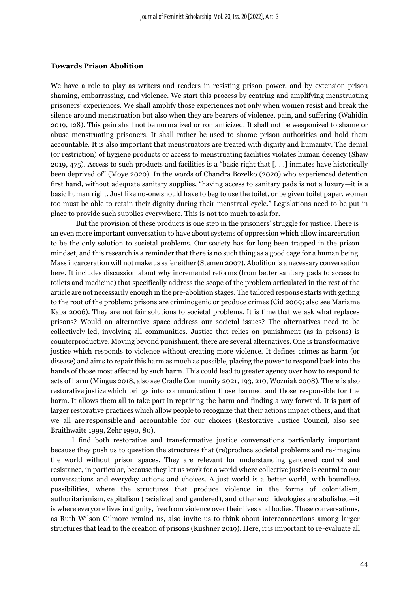#### **Towards Prison Abolition**

We have a role to play as writers and readers in resisting prison power, and by extension prison shaming, embarrassing, and violence. We start this process by centring and amplifying menstruating prisoners' experiences. We shall amplify those experiences not only when women resist and break the silence around menstruation but also when they are bearers of violence, pain, and suffering (Wahidin 2019, 128). This pain shall not be normalized or romanticized. It shall not be weaponized to shame or abuse menstruating prisoners. It shall rather be used to shame prison authorities and hold them accountable. It is also important that menstruators are treated with dignity and humanity. The denial (or restriction) of hygiene products or access to menstruating facilities violates human decency (Shaw 2019, 475). Access to such products and facilities is a "basic right that [. . .] inmates have historically been deprived of" (Moye 2020). In the words of Chandra Bozelko (2020) who experienced detention first hand, without adequate sanitary supplies, "having access to sanitary pads is not a luxury—it is a basic human right. Just like no-one should have to beg to use the toilet, or be given toilet paper, women too must be able to retain their dignity during their menstrual cycle." Legislations need to be put in place to provide such supplies everywhere. This is not too much to ask for.

But the provision of these products is one step in the prisoners' struggle for justice. There is an even more important conversation to have about systems of oppression which allow incarceration to be the only solution to societal problems. Our society has for long been trapped in the prison mindset, and this research is a reminder that there is no such thing as a good cage for a human being. Mass incarceration will not make us safer either (Stemen 2007). Abolition is a necessary conversation here. It includes discussion about why incremental reforms (from better sanitary pads to access to toilets and medicine) that specifically address the scope of the problem articulated in the rest of the article are not necessarily enough in the pre-abolition stages. The tailored response starts with getting to the root of the problem: prisons are criminogenic or produce crimes (Cid 2009; also see Mariame Kaba 2006). They are not fair solutions to societal problems. It is time that we ask what replaces prisons? Would an alternative space address our societal issues? The alternatives need to be collectively-led, involving all communities. Justice that relies on punishment (as in prisons) is counterproductive. Moving beyond punishment, there are several alternatives. One is transformative justice which responds to violence without creating more violence. It defines crimes as harm (or disease) and aims to repair this harm as much as possible, placing the power to respond back into the hands of those most affected by such harm. This could lead to greater agency over how to respond to acts of harm (Mingus 2018, also see Cradle Community 2021, 193, 210, Wozniak 2008). There is also restorative justice which brings into communication those harmed and those responsible for the harm. It allows them all to take part in repairing the harm and finding a way forward. It is part of larger restorative practices which allow people to recognize that their actions impact others, and that we all are responsible and accountable for our choices (Restorative Justice Council, also see Braithwaite 1999, Zehr 1990, 80).

I find both restorative and transformative justice conversations particularly important because they push us to question the structures that (re)produce societal problems and re-imagine the world without prison spaces. They are relevant for understanding gendered control and resistance, in particular, because they let us work for a world where collective justice is central to our conversations and everyday actions and choices. A just world is a better world, with boundless possibilities, where the structures that produce violence in the forms of colonialism, authoritarianism, capitalism (racialized and gendered), and other such ideologies are abolished—it is where everyone lives in dignity, free from violence over their lives and bodies. These conversations, as Ruth Wilson Gilmore remind us, also invite us to think about interconnections among larger structures that lead to the creation of prisons (Kushner 2019). Here, it is important to re-evaluate all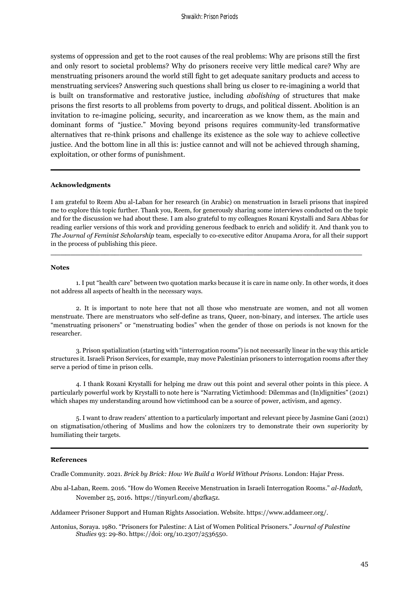systems of oppression and get to the root causes of the real problems: Why are prisons still the first and only resort to societal problems? Why do prisoners receive very little medical care? Why are menstruating prisoners around the world still fight to get adequate sanitary products and access to menstruating services? Answering such questions shall bring us closer to re-imagining a world that is built on transformative and restorative justice, including *abolishing* of structures that make prisons the first resorts to all problems from poverty to drugs, and political dissent. Abolition is an invitation to re-imagine policing, security, and incarceration as we know them, as the main and dominant forms of "justice." Moving beyond prisons requires community-led transformative alternatives that re-think prisons and challenge its existence as the sole way to achieve collective justice. And the bottom line in all this is: justice cannot and will not be achieved through shaming, exploitation, or other forms of punishment.

#### **Acknowledgments**

I am grateful to Reem Abu al-Laban for her research (in Arabic) on menstruation in Israeli prisons that inspired me to explore this topic further. Thank you, Reem, for generously sharing some interviews conducted on the topic and for the discussion we had about these. I am also grateful to my colleagues Roxani Krystalli and Sara Abbas for reading earlier versions of this work and providing generous feedback to enrich and solidify it. And thank you to *The Journal of Feminist Scholarship* team*,* especially to co-executive editor Anupama Arora, for all their support in the process of publishing this piece.

**\_\_\_\_\_\_\_\_\_\_\_\_\_\_\_\_\_\_\_\_\_\_\_\_\_\_\_\_\_\_\_\_\_\_\_\_\_\_\_\_\_\_\_\_\_\_\_\_\_\_\_\_\_\_\_\_\_\_\_\_\_\_\_**

#### **Notes**

1. I put "health care" between two quotation marks because it is care in name only. In other words, it does not address all aspects of health in the necessary ways.

2. It is important to note here that not all those who menstruate are women, and not all women menstruate. There are menstruators who self-define as trans, Queer, non-binary, and intersex. The article uses "menstruating prisoners" or "menstruating bodies" when the gender of those on periods is not known for the researcher.

3. Prison spatialization (starting with "interrogation rooms") is not necessarily linear in the way this article structures it. Israeli Prison Services, for example, may move Palestinian prisoners to interrogation rooms after they serve a period of time in prison cells.

4. I thank Roxani Krystalli for helping me draw out this point and several other points in this piece. A particularly powerful work by Krystalli to note here is "Narrating Victimhood: Dilemmas and (In)dignities" (2021) which shapes my understanding around how victimhood can be a source of power, activism, and agency.

5. I want to draw readers' attention to a particularly important and relevant piece by Jasmine Gani (2021) on stigmatisation/othering of Muslims and how the colonizers try to demonstrate their own superiority by humiliating their targets.

#### **References**

Cradle Community. 2021. *Brick by Brick: How We Build a World Without Prisons*. London: Hajar Press.

Abu al-Laban, Reem. 2016. "How do Women Receive Menstruation in Israeli Interrogation Rooms." *al-Hadath,*  November 25, 2016. [https://tinyurl.com/4b2fka5z.](https://tinyurl.com/4b2fka5z)

Addameer Prisoner Support and Human Rights Association. Website[. https://www.addameer.org/.](https://www.addameer.org/)

Antonius, Soraya. 1980. "Prisoners for Palestine: A List of Women Political Prisoners." *Journal of Palestine Studies* 93: 29-80. https://doi: [org/10.2307/2536550.](https://doi.org/10.2307/2536550)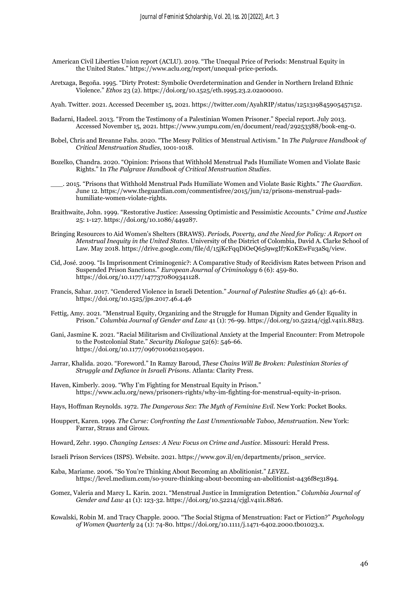- American Civil Liberties Union report (ACLU). 2019. "The Unequal Price of Periods: Menstrual Equity in the United States." [https://www.aclu.org/report/unequal-price-periods.](https://www.aclu.org/report/unequal-price-periods)
- Aretxaga, Begoña. 1995. "Dirty Protest: Symbolic Overdetermination and Gender in Northern Ireland Ethnic Violence." *Ethos* 23 (2). [https://doi.org/10.1525/eth.1995.23.2.02a00010.](https://doi.org/10.1525/eth.1995.23.2.02a00010)
- Ayah. Twitter. 2021. Accessed December 15, 2021[. https://twitter.com/AyahRIP/status/1251319845905457152.](https://twitter.com/AyahRIP/status/1251319845905457152)
- Badarni, Hadeel. 2013. "From the Testimony of a Palestinian Women Prisoner." Special report. July 2013. Accessed November 15, 2021. [https://www.yumpu.com/en/document/read/29253388/book-eng-0.](https://www.yumpu.com/en/document/read/29253388/book-eng-0)
- Bobel, Chris and Breanne Fahs. 2020. "The Messy Politics of Menstrual Activism." In *The Palgrave Handbook of Critical Menstruation Studies*, 1001-1018.
- Bozelko, Chandra. 2020. "Opinion: Prisons that Withhold Menstrual Pads Humiliate Women and Violate Basic Rights." In *The Palgrave Handbook of Critical Menstruation Studies*.
- \_\_\_. 2015. "Prisons that Withhold Menstrual Pads Humiliate Women and Violate Basic Rights." *The Guardian*. June 12. [https://www.theguardian.com/commentisfree/2015/jun/12/prisons-menstrual-pads](https://www.theguardian.com/commentisfree/2015/jun/12/prisons-menstrual-pads-humiliate-women-violate-rights)[humiliate-women-violate-rights.](https://www.theguardian.com/commentisfree/2015/jun/12/prisons-menstrual-pads-humiliate-women-violate-rights)
- Braithwaite, John. 1999. "Restorative Justice: Assessing Optimistic and Pessimistic Accounts." *Crime and Justice* 25: 1-127. [https://doi.org/10.1086/449287.](https://doi.org/10.1086/449287)
- Bringing Resources to Aid Women's Shelters (BRAWS). *Periods, Poverty, and the Need for Policy: A Report on Menstrual Inequity in the United States*. University of the District of Colombia, David A. Clarke School of Law. May 2018. [https://drive.google.com/file/d/15jKcFqqDiOeQ65l9wgIf7K0KEwFu3aSq/view.](https://drive.google.com/file/d/15jKcFqqDiOeQ65l9wgIf7K0KEwFu3aSq/view)
- Cid, José. 2009. "Is Imprisonment Criminogenic?: A Comparative Study of Recidivism Rates between Prison and Suspended Prison Sanctions." *European Journal of Criminology* 6 (6): 459-80. [https://doi.org/10.1177/1477370809341128.](https://doi.org/10.1177/1477370809341128)
- Francis, Sahar. 2017. "Gendered Violence in Israeli Detention." *Journal of Palestine Studies* 46 (4): 46-61. <https://doi.org/10.1525/jps.2017.46.4.46>
- Fettig, Amy. 2021. "Menstrual Equity, Organizing and the Struggle for Human Dignity and Gender Equality in Prison." *Columbia Journal of Gender and Law* 41 (1): 76-99. https://doi.org/10.52214/cjgl.v41i1.8823.
- Gani, Jasmine K. 2021. "Racial Militarism and Civilizational Anxiety at the Imperial Encounter: From Metropole to the Postcolonial State." *Security Dialogue* 52(6): 546-66. [https://doi.org/10.1177/09670106211054901.](https://doi.org/10.1177/09670106211054901)
- Jarrar, Khalida. 2020. "Foreword." In Ramzy Baroud, *These Chains Will Be Broken: Palestinian Stories of Struggle and Defiance in Israeli Prisons*. Atlanta: Clarity Press.
- Haven, Kimberly. 2019. "Why I'm Fighting for Menstrual Equity in Prison." [https://www.aclu.org/news/prisoners-r](https://www.aclu.org/news/prisoners-)ights/why-im-fighting-for-menstrual-equity-in-prison.

Hays, Hoffman Reynolds. 1972. *The Dangerous Sex*: *The Myth of Feminine Evil*. New York: Pocket Books.

Houppert, Karen. 1999. *The Curse: Confronting the Last Unmentionable Taboo, Menstruation*. New York: Farrar, Straus and Giroux.

Howard, Zehr. 1990. *Changing Lenses: A New Focus on Crime and Justice*. Missouri: Herald Press.

Israeli Prison Services (ISPS). Website. 2021. [https://www.gov.il/en/departments/prison\\_service.](https://www.gov.il/en/departments/prison_service)

- Kaba, Mariame. 2006. "So You're Thinking About Becoming an Abolitionist." *LEVEL*. https://level.medium.com/so-youre-thinking-about-becoming-an-abolitionist-a436f8e31894.
- Gomez, Valeria and Marcy L. Karin. 2021. "Menstrual Justice in Immigration Detention." *Columbia Journal of Gender and Law* 41 (1): 123-32. https://doi.org/10.52214/cjgl.v41i1.8826.
- Kowalski, Robin M. and Tracy Chapple. 2000. "The Social Stigma of Menstruation: Fact or Fiction?" *Psychology of Women Quarterly* 24 (1): 74-80. https://doi.org/10.1111/j.1471-6402.2000.tb01023.x.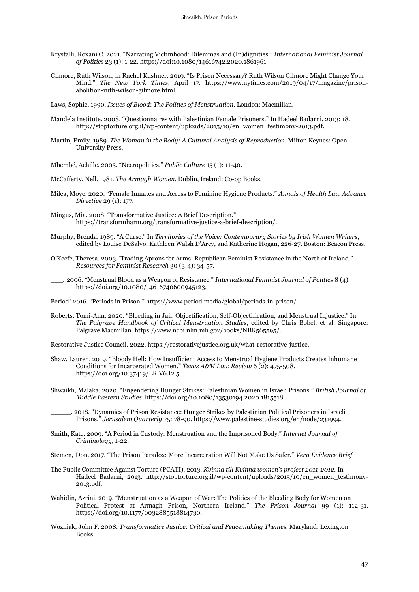- Krystalli, Roxani C. 2021. "Narrating Victimhood: Dilemmas and (In)dignities." *International Feminist Journal of Politics* 23 (1): 1-22. https://doi[:10.1080/14616742.2020.1861961](http://dx.doi.org/10.1080/14616742.2020.1861961)
- Gilmore, Ruth Wilson, in Rachel Kushner. 2019. "Is Prison Necessary? Ruth Wilson Gilmore Might Change Your Mind." *The New York Times*. April 17. [https://www.nytimes.com/2019/04/17/magazine/prison](https://www.nytimes.com/2019/04/17/magazine/prison-abolition-ruth-wilson-gilmore.html)[abolition-ruth-wilson-gilmore.html.](https://www.nytimes.com/2019/04/17/magazine/prison-abolition-ruth-wilson-gilmore.html)

Laws, Sophie. 1990. *Issues of Blood*: *The Politics of Menstruation*. London: Macmillan.

- Mandela Institute. 2008. "Questionnaires with Palestinian Female Prisoners." In Hadeel Badarni, 2013: 18. [http://stoptorture.org.il/wp-content/uploads/2015/10/en\\_women\\_testimony-2013.pdf.](http://stoptorture.org.il/wp-content/uploads/2015/10/en_women_testimony-2013.pdf)
- Martin, Emily. 1989. *The Woman in the Body: A Cultural Analysis of Reproduction*. Milton Keynes: Open University Press.

Mbembé, Achille. 2003. "Necropolitics." *Public Culture* 15 (1): 11-40.

McCafferty, Nell. 1981. *The Armagh Women.* Dublin, Ireland: Co-op Books.

- Milea, Moye. 2020. "Female Inmates and Access to Feminine Hygiene Products." *Annals of Health Law Advance Directive* 29 (1): 177.
- Mingus, Mia. 2008. "Transformative Justice: A Brief Description." [https://transformharm.org/transformative-justice-a-brief-description/.](https://transformharm.org/transformative-justice-a-brief-description/)
- Murphy, Brenda. 1989. "A Curse." In *Territories of the Voice: Contemporary Stories by Irish Women Writers*, edited by Louise DeSalvo, Kathleen Walsh D'Arcy, and Katherine Hogan, 226-27. Boston: Beacon Press.
- O'Keefe, Theresa. 2003. 'Trading Aprons for Arms: Republican Feminist Resistance in the North of Ireland." *Resources for Feminist Research* 30 (3-4): 34-57.
- \_\_\_. 2006. "Menstrual Blood as a Weapon of Resistance." *International Feminist Journal of Politics* 8 (4). https://doi.org/10.1080/14616740600945123.

Period! 2016. "Periods in Prison." [https://www.period.media/global/periods-in-prison/.](https://www.period.media/global/periods-in-prison/)

Roberts, Tomi-Ann. 2020. "Bleeding in Jail: Objectification, Self-Objectification, and Menstrual Injustice." In *The Palgrave Handbook of Critical Menstruation Studie*s, edited by Chris Bobel, et al. Singapore: Palgrave Macmillan. https://www.ncbi.nlm.nih.gov/books/NBK565595/.

Restorative Justice Council. 2022. [https://restorativejustice.org.uk/what-restorative-justice.](https://restorativejustice.org.uk/what-restorative-justice)

Shaw, Lauren. 2019. "Bloody Hell: How Insufficient Access to Menstrual Hygiene Products Creates Inhumane Conditions for Incarcerated Women." *Texas A&M Law Review* 6 (2): 475-508. https://doi.org/10.37419/LR.V6.I2.5

Shwaikh, Malaka. 2020. "Engendering Hunger Strikes: Palestinian Women in Israeli Prisons." *British Journal of Middle Eastern Studies*. https://doi.org/10.1080/13530194.2020.1815518.

\_\_\_\_\_. 2018. "Dynamics of Prison Resistance: Hunger Strikes by Palestinian Political Prisoners in Israeli Prisons." *Jerusalem Quarterly* 75: 78-90. https://www.palestine-studies.org/en/node/231994.

Smith, Kate. 2009. "A Period in Custody: Menstruation and the Imprisoned Body." *Internet Journal of Criminology*, 1-22.

Stemen, Don. 2017. "The Prison Paradox: More Incarceration Will Not Make Us Safer." *Vera Evidence Brief.*

- The Public Committee Against Torture (PCATI). 2013. *Kvinna till Kvinna women's project 2011-2012*. In Hadeel Badarni, 2013. [http://stoptorture.org.il/wp-content/uploads/2015/10/en\\_women\\_testimony-](http://stoptorture.org.il/wp-content/uploads/2015/10/en_women_testimony-2013.pdf)[2013.pdf.](http://stoptorture.org.il/wp-content/uploads/2015/10/en_women_testimony-2013.pdf)
- Wahidin, Azrini. 2019. "Menstruation as a Weapon of War: The Politics of the Bleeding Body for Women on Political Protest at Armagh Prison, Northern Ireland." *The Prison Journal* 99 (1): 112-31. https://doi.org/10.1177/0032885518814730.
- Wozniak, John F. 2008. *Transformative Justice: Critical and Peacemaking Themes.* Maryland: Lexington Books.